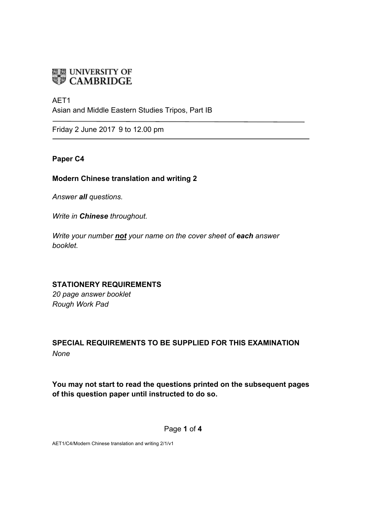# **ENDINE UNIVERSITY OF**

# AFT<sub>1</sub>

Asian and Middle Eastern Studies Tripos, Part IB

Friday 2 June 2017 9 to 12.00 pm

# **Paper C4**

# **Modern Chinese translation and writing 2**

*Answer all questions.* 

*Write in Chinese throughout.*

*Write your number not your name on the cover sheet of each answer booklet.* 

# **STATIONERY REQUIREMENTS**

*20 page answer booklet Rough Work Pad*

# **SPECIAL REQUIREMENTS TO BE SUPPLIED FOR THIS EXAMINATION** *None*

**You may not start to read the questions printed on the subsequent pages of this question paper until instructed to do so.**

Page **1** of **4**

AET1/C4/Modern Chinese translation and writing 2/1/v1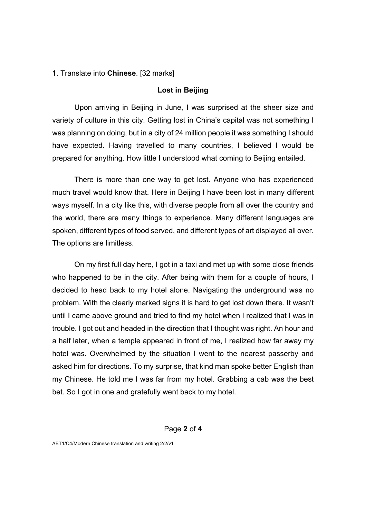#### **1**. Translate into **Chinese**. [32 marks]

#### **Lost in Beijing**

Upon arriving in Beijing in June, I was surprised at the sheer size and variety of culture in this city. Getting lost in China's capital was not something I was planning on doing, but in a city of 24 million people it was something I should have expected. Having travelled to many countries, I believed I would be prepared for anything. How little I understood what coming to Beijing entailed.

There is more than one way to get lost. Anyone who has experienced much travel would know that. Here in Beijing I have been lost in many different ways myself. In a city like this, with diverse people from all over the country and the world, there are many things to experience. Many different languages are spoken, different types of food served, and different types of art displayed all over. The options are limitless.

On my first full day here, I got in a taxi and met up with some close friends who happened to be in the city. After being with them for a couple of hours, I decided to head back to my hotel alone. Navigating the underground was no problem. With the clearly marked signs it is hard to get lost down there. It wasn't until I came above ground and tried to find my hotel when I realized that I was in trouble. I got out and headed in the direction that I thought was right. An hour and a half later, when a temple appeared in front of me, I realized how far away my hotel was. Overwhelmed by the situation I went to the nearest passerby and asked him for directions. To my surprise, that kind man spoke better English than my Chinese. He told me I was far from my hotel. Grabbing a cab was the best bet. So I got in one and gratefully went back to my hotel.

#### Page **2** of **4**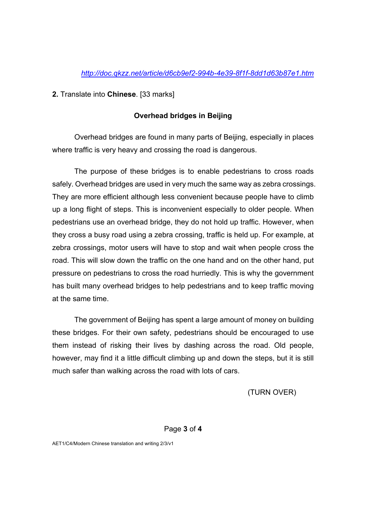# *http://doc.qkzz.net/article/d6cb9ef2-994b-4e39-8f1f-8dd1d63b87e1.htm*

**2.** Translate into **Chinese**. [33 marks]

# **Overhead bridges in Beijing**

Overhead bridges are found in many parts of Beijing, especially in places where traffic is very heavy and crossing the road is dangerous.

The purpose of these bridges is to enable pedestrians to cross roads safely. Overhead bridges are used in very much the same way as zebra crossings. They are more efficient although less convenient because people have to climb up a long flight of steps. This is inconvenient especially to older people. When pedestrians use an overhead bridge, they do not hold up traffic. However, when they cross a busy road using a zebra crossing, traffic is held up. For example, at zebra crossings, motor users will have to stop and wait when people cross the road. This will slow down the traffic on the one hand and on the other hand, put pressure on pedestrians to cross the road hurriedly. This is why the government has built many overhead bridges to help pedestrians and to keep traffic moving at the same time.

The government of Beijing has spent a large amount of money on building these bridges. For their own safety, pedestrians should be encouraged to use them instead of risking their lives by dashing across the road. Old people, however, may find it a little difficult climbing up and down the steps, but it is still much safer than walking across the road with lots of cars.

(TURN OVER)

#### Page **3** of **4**